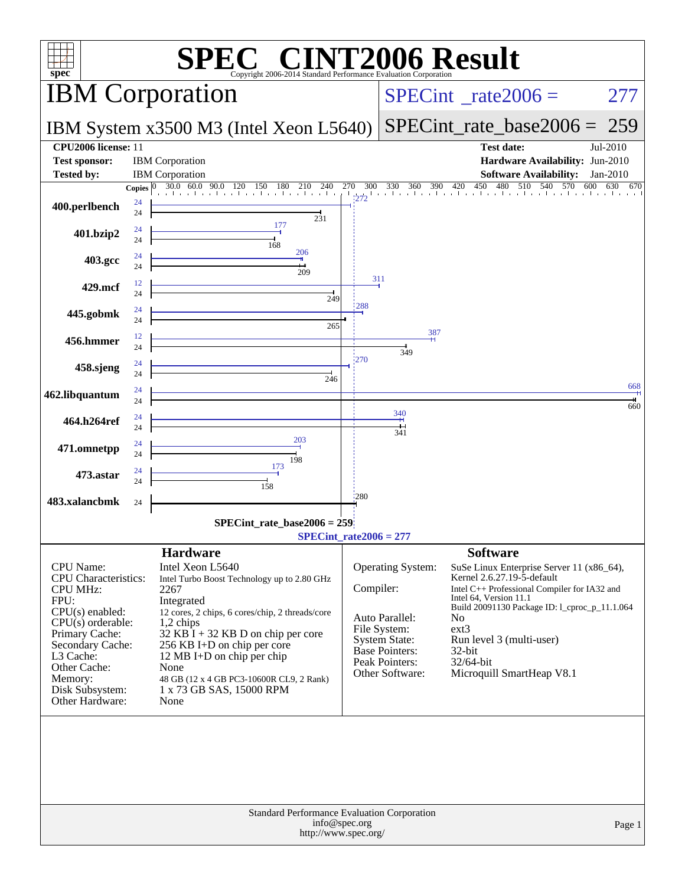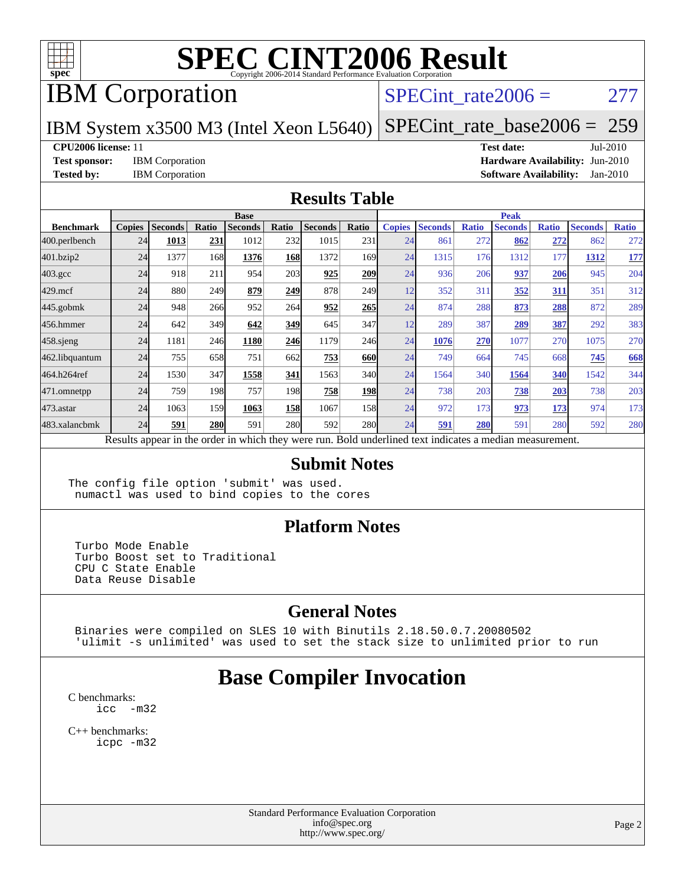

## IBM Corporation

#### SPECint rate $2006 = 277$

IBM System x3500 M3 (Intel Xeon L5640)

[SPECint\\_rate\\_base2006 =](http://www.spec.org/auto/cpu2006/Docs/result-fields.html#SPECintratebase2006) 259

#### **[CPU2006 license:](http://www.spec.org/auto/cpu2006/Docs/result-fields.html#CPU2006license)** 11 **[Test date:](http://www.spec.org/auto/cpu2006/Docs/result-fields.html#Testdate)** Jul-2010

**[Test sponsor:](http://www.spec.org/auto/cpu2006/Docs/result-fields.html#Testsponsor)** IBM Corporation **[Hardware Availability:](http://www.spec.org/auto/cpu2006/Docs/result-fields.html#HardwareAvailability)** Jun-2010 **[Tested by:](http://www.spec.org/auto/cpu2006/Docs/result-fields.html#Testedby)** IBM Corporation **[Software Availability:](http://www.spec.org/auto/cpu2006/Docs/result-fields.html#SoftwareAvailability)** Jan-2010

#### **[Results Table](http://www.spec.org/auto/cpu2006/Docs/result-fields.html#ResultsTable)**

|                    | <b>Base</b>   |                |            |                |            |                                                                                                          |            | <b>Peak</b>   |                |              |                |              |                |              |
|--------------------|---------------|----------------|------------|----------------|------------|----------------------------------------------------------------------------------------------------------|------------|---------------|----------------|--------------|----------------|--------------|----------------|--------------|
| <b>Benchmark</b>   | <b>Copies</b> | <b>Seconds</b> | Ratio      | <b>Seconds</b> | Ratio      | <b>Seconds</b>                                                                                           | Ratio      | <b>Copies</b> | <b>Seconds</b> | <b>Ratio</b> | <b>Seconds</b> | <b>Ratio</b> | <b>Seconds</b> | <b>Ratio</b> |
| 400.perlbench      | 24            | 1013           | 231        | 1012           | 232        | 1015                                                                                                     | 231        | 24            | 861            | 272          | 862            | 272          | 862            | 272          |
| 401.bzip2          | 24            | 1377           | 168        | 1376           | 168        | 1372                                                                                                     | 169        | 24            | 1315           | 176          | 1312           | 177          | 1312           | <u>177</u>   |
| $403.\mathrm{gcc}$ | 24            | 918            | 211        | 954            | 203        | 925                                                                                                      | 209        | 24            | 936            | 206          | 937            | 206          | 945            | 204          |
| $429$ .mcf         | 24            | 880            | 249        | 879            | 249        | 878                                                                                                      | 249        | 12            | 352            | 311          | 352            | 311          | 351            | 312          |
| $445$ .gobmk       | 24            | 948            | 266        | 952            | 264        | 952                                                                                                      | 265        | 24            | 874            | 288          | 873            | <u>288</u>   | 872            | 289          |
| 456.hmmer          | 24            | 642            | 349        | 642            | 349        | 645                                                                                                      | 347        | 12            | 289            | 387          | 289            | 387          | 292            | 383          |
| $458$ .sjeng       | 24            | 1181           | 246        | 1180           | 246        | 1179                                                                                                     | 246        | 24            | 1076           | 270          | 1077           | 270          | 1075           | 270          |
| 462.libquantum     | 24            | 755            | 658        | 751            | 662        | 753                                                                                                      | 660        | 24            | 749            | 664          | 745            | 668          | 745            | 668          |
| 464.h264ref        | 24            | 1530           | 347        | 1558           | 341        | 1563                                                                                                     | 340        | 24            | 1564           | 340          | 1564           | 340          | 1542           | 344          |
| 471.omnetpp        | 24            | 759            | 198        | 757            | 198        | 758                                                                                                      | 198        | 24            | 738            | 203          | 738            | 203          | 738            | 203          |
| $473$ . astar      | 24            | 1063           | 159        | 1063           | <u>158</u> | 1067                                                                                                     | 158        | 24            | 972            | 173          | 973            | 173          | 974            | 173          |
| 483.xalancbmk      | 24            | 591            | <b>280</b> | 591            | 280        | 592                                                                                                      | <b>280</b> | 24            | 591            | 280          | 591            | 280          | 592            | 280          |
|                    |               |                |            |                |            | Results appear in the order in which they were run. Bold underlined text indicates a median measurement. |            |               |                |              |                |              |                |              |

#### **[Submit Notes](http://www.spec.org/auto/cpu2006/Docs/result-fields.html#SubmitNotes)**

The config file option 'submit' was used. numactl was used to bind copies to the cores

#### **[Platform Notes](http://www.spec.org/auto/cpu2006/Docs/result-fields.html#PlatformNotes)**

 Turbo Mode Enable Turbo Boost set to Traditional CPU C State Enable Data Reuse Disable

#### **[General Notes](http://www.spec.org/auto/cpu2006/Docs/result-fields.html#GeneralNotes)**

 Binaries were compiled on SLES 10 with Binutils 2.18.50.0.7.20080502 'ulimit -s unlimited' was used to set the stack size to unlimited prior to run

## **[Base Compiler Invocation](http://www.spec.org/auto/cpu2006/Docs/result-fields.html#BaseCompilerInvocation)**

[C benchmarks](http://www.spec.org/auto/cpu2006/Docs/result-fields.html#Cbenchmarks): [icc -m32](http://www.spec.org/cpu2006/results/res2010q3/cpu2006-20100802-12739.flags.html#user_CCbase_intel_icc_32bit_5ff4a39e364c98233615fdd38438c6f2)

[C++ benchmarks:](http://www.spec.org/auto/cpu2006/Docs/result-fields.html#CXXbenchmarks) [icpc -m32](http://www.spec.org/cpu2006/results/res2010q3/cpu2006-20100802-12739.flags.html#user_CXXbase_intel_icpc_32bit_4e5a5ef1a53fd332b3c49e69c3330699)

> Standard Performance Evaluation Corporation [info@spec.org](mailto:info@spec.org) <http://www.spec.org/>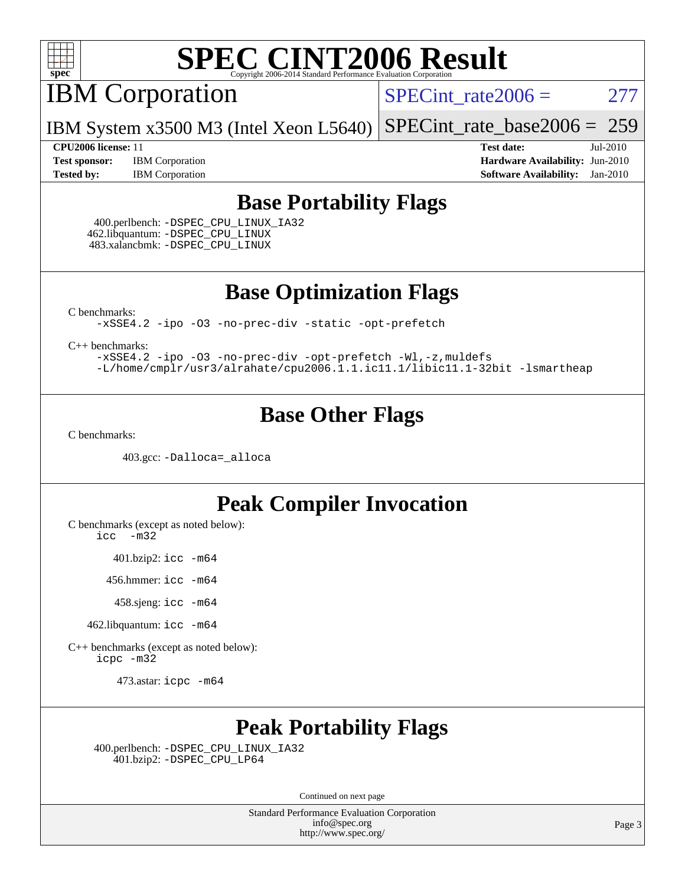

IBM Corporation

 $SPECTnt_rate2006 = 277$ 

IBM System x3500 M3 (Intel Xeon L5640) [SPECint\\_rate\\_base2006 =](http://www.spec.org/auto/cpu2006/Docs/result-fields.html#SPECintratebase2006) 259

**[Test sponsor:](http://www.spec.org/auto/cpu2006/Docs/result-fields.html#Testsponsor)** IBM Corporation **[Hardware Availability:](http://www.spec.org/auto/cpu2006/Docs/result-fields.html#HardwareAvailability)** Jun-2010 **[Tested by:](http://www.spec.org/auto/cpu2006/Docs/result-fields.html#Testedby)** IBM Corporation **[Software Availability:](http://www.spec.org/auto/cpu2006/Docs/result-fields.html#SoftwareAvailability)** Jan-2010

**[CPU2006 license:](http://www.spec.org/auto/cpu2006/Docs/result-fields.html#CPU2006license)** 11 **[Test date:](http://www.spec.org/auto/cpu2006/Docs/result-fields.html#Testdate)** Jul-2010

### **[Base Portability Flags](http://www.spec.org/auto/cpu2006/Docs/result-fields.html#BasePortabilityFlags)**

 400.perlbench: [-DSPEC\\_CPU\\_LINUX\\_IA32](http://www.spec.org/cpu2006/results/res2010q3/cpu2006-20100802-12739.flags.html#b400.perlbench_baseCPORTABILITY_DSPEC_CPU_LINUX_IA32) 462.libquantum: [-DSPEC\\_CPU\\_LINUX](http://www.spec.org/cpu2006/results/res2010q3/cpu2006-20100802-12739.flags.html#b462.libquantum_baseCPORTABILITY_DSPEC_CPU_LINUX) 483.xalancbmk: [-DSPEC\\_CPU\\_LINUX](http://www.spec.org/cpu2006/results/res2010q3/cpu2006-20100802-12739.flags.html#b483.xalancbmk_baseCXXPORTABILITY_DSPEC_CPU_LINUX)

**[Base Optimization Flags](http://www.spec.org/auto/cpu2006/Docs/result-fields.html#BaseOptimizationFlags)**

[C benchmarks](http://www.spec.org/auto/cpu2006/Docs/result-fields.html#Cbenchmarks):

[-xSSE4.2](http://www.spec.org/cpu2006/results/res2010q3/cpu2006-20100802-12739.flags.html#user_CCbase_f-xSSE42_f91528193cf0b216347adb8b939d4107) [-ipo](http://www.spec.org/cpu2006/results/res2010q3/cpu2006-20100802-12739.flags.html#user_CCbase_f-ipo) [-O3](http://www.spec.org/cpu2006/results/res2010q3/cpu2006-20100802-12739.flags.html#user_CCbase_f-O3) [-no-prec-div](http://www.spec.org/cpu2006/results/res2010q3/cpu2006-20100802-12739.flags.html#user_CCbase_f-no-prec-div) [-static](http://www.spec.org/cpu2006/results/res2010q3/cpu2006-20100802-12739.flags.html#user_CCbase_f-static) [-opt-prefetch](http://www.spec.org/cpu2006/results/res2010q3/cpu2006-20100802-12739.flags.html#user_CCbase_f-opt-prefetch)

[C++ benchmarks:](http://www.spec.org/auto/cpu2006/Docs/result-fields.html#CXXbenchmarks)

[-xSSE4.2](http://www.spec.org/cpu2006/results/res2010q3/cpu2006-20100802-12739.flags.html#user_CXXbase_f-xSSE42_f91528193cf0b216347adb8b939d4107) [-ipo](http://www.spec.org/cpu2006/results/res2010q3/cpu2006-20100802-12739.flags.html#user_CXXbase_f-ipo) [-O3](http://www.spec.org/cpu2006/results/res2010q3/cpu2006-20100802-12739.flags.html#user_CXXbase_f-O3) [-no-prec-div](http://www.spec.org/cpu2006/results/res2010q3/cpu2006-20100802-12739.flags.html#user_CXXbase_f-no-prec-div) [-opt-prefetch](http://www.spec.org/cpu2006/results/res2010q3/cpu2006-20100802-12739.flags.html#user_CXXbase_f-opt-prefetch) [-Wl,-z,muldefs](http://www.spec.org/cpu2006/results/res2010q3/cpu2006-20100802-12739.flags.html#user_CXXbase_link_force_multiple1_74079c344b956b9658436fd1b6dd3a8a) [-L/home/cmplr/usr3/alrahate/cpu2006.1.1.ic11.1/libic11.1-32bit -lsmartheap](http://www.spec.org/cpu2006/results/res2010q3/cpu2006-20100802-12739.flags.html#user_CXXbase_SmartHeap_d86dffe4a79b79ef8890d5cce17030c3)

### **[Base Other Flags](http://www.spec.org/auto/cpu2006/Docs/result-fields.html#BaseOtherFlags)**

[C benchmarks](http://www.spec.org/auto/cpu2006/Docs/result-fields.html#Cbenchmarks):

403.gcc: [-Dalloca=\\_alloca](http://www.spec.org/cpu2006/results/res2010q3/cpu2006-20100802-12739.flags.html#b403.gcc_baseEXTRA_CFLAGS_Dalloca_be3056838c12de2578596ca5467af7f3)

### **[Peak Compiler Invocation](http://www.spec.org/auto/cpu2006/Docs/result-fields.html#PeakCompilerInvocation)**

[C benchmarks \(except as noted below\)](http://www.spec.org/auto/cpu2006/Docs/result-fields.html#Cbenchmarksexceptasnotedbelow):

[icc -m32](http://www.spec.org/cpu2006/results/res2010q3/cpu2006-20100802-12739.flags.html#user_CCpeak_intel_icc_32bit_5ff4a39e364c98233615fdd38438c6f2)

401.bzip2: [icc -m64](http://www.spec.org/cpu2006/results/res2010q3/cpu2006-20100802-12739.flags.html#user_peakCCLD401_bzip2_intel_icc_64bit_bda6cc9af1fdbb0edc3795bac97ada53)

456.hmmer: [icc -m64](http://www.spec.org/cpu2006/results/res2010q3/cpu2006-20100802-12739.flags.html#user_peakCCLD456_hmmer_intel_icc_64bit_bda6cc9af1fdbb0edc3795bac97ada53)

458.sjeng: [icc -m64](http://www.spec.org/cpu2006/results/res2010q3/cpu2006-20100802-12739.flags.html#user_peakCCLD458_sjeng_intel_icc_64bit_bda6cc9af1fdbb0edc3795bac97ada53)

462.libquantum: [icc -m64](http://www.spec.org/cpu2006/results/res2010q3/cpu2006-20100802-12739.flags.html#user_peakCCLD462_libquantum_intel_icc_64bit_bda6cc9af1fdbb0edc3795bac97ada53)

[C++ benchmarks \(except as noted below\):](http://www.spec.org/auto/cpu2006/Docs/result-fields.html#CXXbenchmarksexceptasnotedbelow) [icpc -m32](http://www.spec.org/cpu2006/results/res2010q3/cpu2006-20100802-12739.flags.html#user_CXXpeak_intel_icpc_32bit_4e5a5ef1a53fd332b3c49e69c3330699)

473.astar: [icpc -m64](http://www.spec.org/cpu2006/results/res2010q3/cpu2006-20100802-12739.flags.html#user_peakCXXLD473_astar_intel_icpc_64bit_fc66a5337ce925472a5c54ad6a0de310)

## **[Peak Portability Flags](http://www.spec.org/auto/cpu2006/Docs/result-fields.html#PeakPortabilityFlags)**

 400.perlbench: [-DSPEC\\_CPU\\_LINUX\\_IA32](http://www.spec.org/cpu2006/results/res2010q3/cpu2006-20100802-12739.flags.html#b400.perlbench_peakCPORTABILITY_DSPEC_CPU_LINUX_IA32) 401.bzip2: [-DSPEC\\_CPU\\_LP64](http://www.spec.org/cpu2006/results/res2010q3/cpu2006-20100802-12739.flags.html#suite_peakCPORTABILITY401_bzip2_DSPEC_CPU_LP64)

Continued on next page

Standard Performance Evaluation Corporation [info@spec.org](mailto:info@spec.org) <http://www.spec.org/>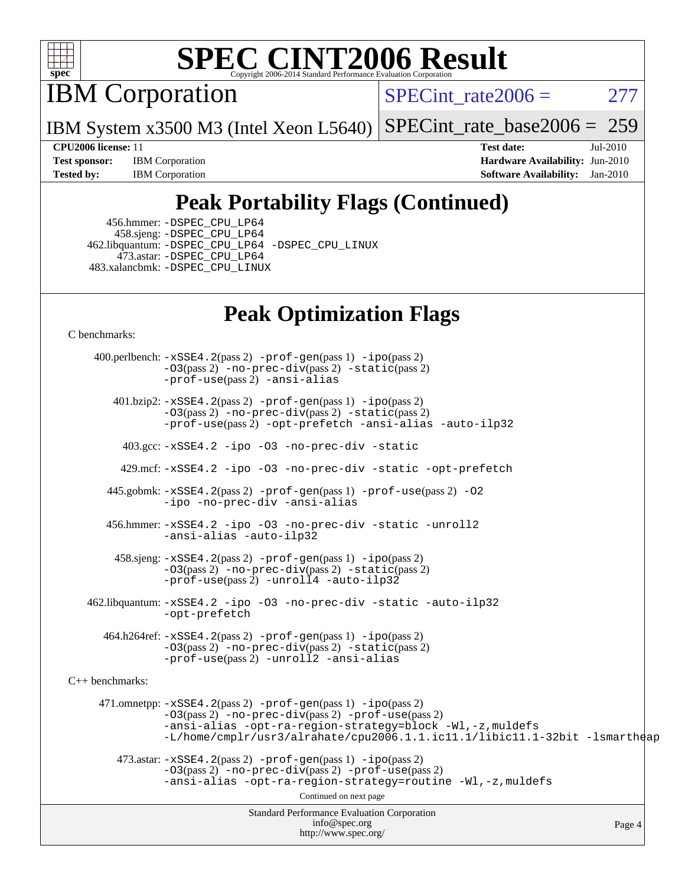

IBM Corporation

SPECint rate $2006 = 277$ 

IBM System x3500 M3 (Intel Xeon L5640) [SPECint\\_rate\\_base2006 =](http://www.spec.org/auto/cpu2006/Docs/result-fields.html#SPECintratebase2006) 259

**[Test sponsor:](http://www.spec.org/auto/cpu2006/Docs/result-fields.html#Testsponsor)** IBM Corporation **[Hardware Availability:](http://www.spec.org/auto/cpu2006/Docs/result-fields.html#HardwareAvailability)** Jun-2010 **[Tested by:](http://www.spec.org/auto/cpu2006/Docs/result-fields.html#Testedby)** IBM Corporation **[Software Availability:](http://www.spec.org/auto/cpu2006/Docs/result-fields.html#SoftwareAvailability)** Jan-2010

**[CPU2006 license:](http://www.spec.org/auto/cpu2006/Docs/result-fields.html#CPU2006license)** 11 **[Test date:](http://www.spec.org/auto/cpu2006/Docs/result-fields.html#Testdate)** Jul-2010

## **[Peak Portability Flags \(Continued\)](http://www.spec.org/auto/cpu2006/Docs/result-fields.html#PeakPortabilityFlags)**

 456.hmmer: [-DSPEC\\_CPU\\_LP64](http://www.spec.org/cpu2006/results/res2010q3/cpu2006-20100802-12739.flags.html#suite_peakCPORTABILITY456_hmmer_DSPEC_CPU_LP64) 458.sjeng: [-DSPEC\\_CPU\\_LP64](http://www.spec.org/cpu2006/results/res2010q3/cpu2006-20100802-12739.flags.html#suite_peakCPORTABILITY458_sjeng_DSPEC_CPU_LP64) 462.libquantum: [-DSPEC\\_CPU\\_LP64](http://www.spec.org/cpu2006/results/res2010q3/cpu2006-20100802-12739.flags.html#suite_peakCPORTABILITY462_libquantum_DSPEC_CPU_LP64) [-DSPEC\\_CPU\\_LINUX](http://www.spec.org/cpu2006/results/res2010q3/cpu2006-20100802-12739.flags.html#b462.libquantum_peakCPORTABILITY_DSPEC_CPU_LINUX) 473.astar: [-DSPEC\\_CPU\\_LP64](http://www.spec.org/cpu2006/results/res2010q3/cpu2006-20100802-12739.flags.html#suite_peakCXXPORTABILITY473_astar_DSPEC_CPU_LP64) 483.xalancbmk: [-DSPEC\\_CPU\\_LINUX](http://www.spec.org/cpu2006/results/res2010q3/cpu2006-20100802-12739.flags.html#b483.xalancbmk_peakCXXPORTABILITY_DSPEC_CPU_LINUX)

## **[Peak Optimization Flags](http://www.spec.org/auto/cpu2006/Docs/result-fields.html#PeakOptimizationFlags)**

[C benchmarks](http://www.spec.org/auto/cpu2006/Docs/result-fields.html#Cbenchmarks):

Standard Performance Evaluation Corporation [info@spec.org](mailto:info@spec.org) <http://www.spec.org/> Page 4 400.perlbench: [-xSSE4.2](http://www.spec.org/cpu2006/results/res2010q3/cpu2006-20100802-12739.flags.html#user_peakPASS2_CFLAGSPASS2_LDCFLAGS400_perlbench_f-xSSE42_f91528193cf0b216347adb8b939d4107)(pass 2) [-prof-gen](http://www.spec.org/cpu2006/results/res2010q3/cpu2006-20100802-12739.flags.html#user_peakPASS1_CFLAGSPASS1_LDCFLAGS400_perlbench_prof_gen_e43856698f6ca7b7e442dfd80e94a8fc)(pass 1) [-ipo](http://www.spec.org/cpu2006/results/res2010q3/cpu2006-20100802-12739.flags.html#user_peakPASS2_CFLAGSPASS2_LDCFLAGS400_perlbench_f-ipo)(pass 2) [-O3](http://www.spec.org/cpu2006/results/res2010q3/cpu2006-20100802-12739.flags.html#user_peakPASS2_CFLAGSPASS2_LDCFLAGS400_perlbench_f-O3)(pass 2) [-no-prec-div](http://www.spec.org/cpu2006/results/res2010q3/cpu2006-20100802-12739.flags.html#user_peakPASS2_CFLAGSPASS2_LDCFLAGS400_perlbench_f-no-prec-div)(pass 2) [-static](http://www.spec.org/cpu2006/results/res2010q3/cpu2006-20100802-12739.flags.html#user_peakPASS2_CFLAGSPASS2_LDCFLAGS400_perlbench_f-static)(pass 2) [-prof-use](http://www.spec.org/cpu2006/results/res2010q3/cpu2006-20100802-12739.flags.html#user_peakPASS2_CFLAGSPASS2_LDCFLAGS400_perlbench_prof_use_bccf7792157ff70d64e32fe3e1250b55)(pass 2) [-ansi-alias](http://www.spec.org/cpu2006/results/res2010q3/cpu2006-20100802-12739.flags.html#user_peakCOPTIMIZE400_perlbench_f-ansi-alias) 401.bzip2: [-xSSE4.2](http://www.spec.org/cpu2006/results/res2010q3/cpu2006-20100802-12739.flags.html#user_peakPASS2_CFLAGSPASS2_LDCFLAGS401_bzip2_f-xSSE42_f91528193cf0b216347adb8b939d4107)(pass 2) [-prof-gen](http://www.spec.org/cpu2006/results/res2010q3/cpu2006-20100802-12739.flags.html#user_peakPASS1_CFLAGSPASS1_LDCFLAGS401_bzip2_prof_gen_e43856698f6ca7b7e442dfd80e94a8fc)(pass 1) [-ipo](http://www.spec.org/cpu2006/results/res2010q3/cpu2006-20100802-12739.flags.html#user_peakPASS2_CFLAGSPASS2_LDCFLAGS401_bzip2_f-ipo)(pass 2) [-O3](http://www.spec.org/cpu2006/results/res2010q3/cpu2006-20100802-12739.flags.html#user_peakPASS2_CFLAGSPASS2_LDCFLAGS401_bzip2_f-O3)(pass 2) [-no-prec-div](http://www.spec.org/cpu2006/results/res2010q3/cpu2006-20100802-12739.flags.html#user_peakPASS2_CFLAGSPASS2_LDCFLAGS401_bzip2_f-no-prec-div)(pass 2) [-static](http://www.spec.org/cpu2006/results/res2010q3/cpu2006-20100802-12739.flags.html#user_peakPASS2_CFLAGSPASS2_LDCFLAGS401_bzip2_f-static)(pass 2) [-prof-use](http://www.spec.org/cpu2006/results/res2010q3/cpu2006-20100802-12739.flags.html#user_peakPASS2_CFLAGSPASS2_LDCFLAGS401_bzip2_prof_use_bccf7792157ff70d64e32fe3e1250b55)(pass 2) [-opt-prefetch](http://www.spec.org/cpu2006/results/res2010q3/cpu2006-20100802-12739.flags.html#user_peakCOPTIMIZE401_bzip2_f-opt-prefetch) [-ansi-alias](http://www.spec.org/cpu2006/results/res2010q3/cpu2006-20100802-12739.flags.html#user_peakCOPTIMIZE401_bzip2_f-ansi-alias) [-auto-ilp32](http://www.spec.org/cpu2006/results/res2010q3/cpu2006-20100802-12739.flags.html#user_peakCOPTIMIZE401_bzip2_f-auto-ilp32) 403.gcc: [-xSSE4.2](http://www.spec.org/cpu2006/results/res2010q3/cpu2006-20100802-12739.flags.html#user_peakCOPTIMIZE403_gcc_f-xSSE42_f91528193cf0b216347adb8b939d4107) [-ipo](http://www.spec.org/cpu2006/results/res2010q3/cpu2006-20100802-12739.flags.html#user_peakCOPTIMIZE403_gcc_f-ipo) [-O3](http://www.spec.org/cpu2006/results/res2010q3/cpu2006-20100802-12739.flags.html#user_peakCOPTIMIZE403_gcc_f-O3) [-no-prec-div](http://www.spec.org/cpu2006/results/res2010q3/cpu2006-20100802-12739.flags.html#user_peakCOPTIMIZE403_gcc_f-no-prec-div) [-static](http://www.spec.org/cpu2006/results/res2010q3/cpu2006-20100802-12739.flags.html#user_peakCOPTIMIZE403_gcc_f-static) 429.mcf: [-xSSE4.2](http://www.spec.org/cpu2006/results/res2010q3/cpu2006-20100802-12739.flags.html#user_peakCOPTIMIZE429_mcf_f-xSSE42_f91528193cf0b216347adb8b939d4107) [-ipo](http://www.spec.org/cpu2006/results/res2010q3/cpu2006-20100802-12739.flags.html#user_peakCOPTIMIZE429_mcf_f-ipo) [-O3](http://www.spec.org/cpu2006/results/res2010q3/cpu2006-20100802-12739.flags.html#user_peakCOPTIMIZE429_mcf_f-O3) [-no-prec-div](http://www.spec.org/cpu2006/results/res2010q3/cpu2006-20100802-12739.flags.html#user_peakCOPTIMIZE429_mcf_f-no-prec-div) [-static](http://www.spec.org/cpu2006/results/res2010q3/cpu2006-20100802-12739.flags.html#user_peakCOPTIMIZE429_mcf_f-static) [-opt-prefetch](http://www.spec.org/cpu2006/results/res2010q3/cpu2006-20100802-12739.flags.html#user_peakCOPTIMIZE429_mcf_f-opt-prefetch) 445.gobmk: [-xSSE4.2](http://www.spec.org/cpu2006/results/res2010q3/cpu2006-20100802-12739.flags.html#user_peakPASS2_CFLAGSPASS2_LDCFLAGS445_gobmk_f-xSSE42_f91528193cf0b216347adb8b939d4107)(pass 2) [-prof-gen](http://www.spec.org/cpu2006/results/res2010q3/cpu2006-20100802-12739.flags.html#user_peakPASS1_CFLAGSPASS1_LDCFLAGS445_gobmk_prof_gen_e43856698f6ca7b7e442dfd80e94a8fc)(pass 1) [-prof-use](http://www.spec.org/cpu2006/results/res2010q3/cpu2006-20100802-12739.flags.html#user_peakPASS2_CFLAGSPASS2_LDCFLAGS445_gobmk_prof_use_bccf7792157ff70d64e32fe3e1250b55)(pass 2) [-O2](http://www.spec.org/cpu2006/results/res2010q3/cpu2006-20100802-12739.flags.html#user_peakCOPTIMIZE445_gobmk_f-O2) [-ipo](http://www.spec.org/cpu2006/results/res2010q3/cpu2006-20100802-12739.flags.html#user_peakCOPTIMIZE445_gobmk_f-ipo) [-no-prec-div](http://www.spec.org/cpu2006/results/res2010q3/cpu2006-20100802-12739.flags.html#user_peakCOPTIMIZE445_gobmk_f-no-prec-div) [-ansi-alias](http://www.spec.org/cpu2006/results/res2010q3/cpu2006-20100802-12739.flags.html#user_peakCOPTIMIZE445_gobmk_f-ansi-alias) 456.hmmer: [-xSSE4.2](http://www.spec.org/cpu2006/results/res2010q3/cpu2006-20100802-12739.flags.html#user_peakCOPTIMIZE456_hmmer_f-xSSE42_f91528193cf0b216347adb8b939d4107) [-ipo](http://www.spec.org/cpu2006/results/res2010q3/cpu2006-20100802-12739.flags.html#user_peakCOPTIMIZE456_hmmer_f-ipo) [-O3](http://www.spec.org/cpu2006/results/res2010q3/cpu2006-20100802-12739.flags.html#user_peakCOPTIMIZE456_hmmer_f-O3) [-no-prec-div](http://www.spec.org/cpu2006/results/res2010q3/cpu2006-20100802-12739.flags.html#user_peakCOPTIMIZE456_hmmer_f-no-prec-div) [-static](http://www.spec.org/cpu2006/results/res2010q3/cpu2006-20100802-12739.flags.html#user_peakCOPTIMIZE456_hmmer_f-static) [-unroll2](http://www.spec.org/cpu2006/results/res2010q3/cpu2006-20100802-12739.flags.html#user_peakCOPTIMIZE456_hmmer_f-unroll_784dae83bebfb236979b41d2422d7ec2) [-ansi-alias](http://www.spec.org/cpu2006/results/res2010q3/cpu2006-20100802-12739.flags.html#user_peakCOPTIMIZE456_hmmer_f-ansi-alias) [-auto-ilp32](http://www.spec.org/cpu2006/results/res2010q3/cpu2006-20100802-12739.flags.html#user_peakCOPTIMIZE456_hmmer_f-auto-ilp32) 458.sjeng: [-xSSE4.2](http://www.spec.org/cpu2006/results/res2010q3/cpu2006-20100802-12739.flags.html#user_peakPASS2_CFLAGSPASS2_LDCFLAGS458_sjeng_f-xSSE42_f91528193cf0b216347adb8b939d4107)(pass 2) [-prof-gen](http://www.spec.org/cpu2006/results/res2010q3/cpu2006-20100802-12739.flags.html#user_peakPASS1_CFLAGSPASS1_LDCFLAGS458_sjeng_prof_gen_e43856698f6ca7b7e442dfd80e94a8fc)(pass 1) [-ipo](http://www.spec.org/cpu2006/results/res2010q3/cpu2006-20100802-12739.flags.html#user_peakPASS2_CFLAGSPASS2_LDCFLAGS458_sjeng_f-ipo)(pass 2) [-O3](http://www.spec.org/cpu2006/results/res2010q3/cpu2006-20100802-12739.flags.html#user_peakPASS2_CFLAGSPASS2_LDCFLAGS458_sjeng_f-O3)(pass 2) [-no-prec-div](http://www.spec.org/cpu2006/results/res2010q3/cpu2006-20100802-12739.flags.html#user_peakPASS2_CFLAGSPASS2_LDCFLAGS458_sjeng_f-no-prec-div)(pass 2) [-static](http://www.spec.org/cpu2006/results/res2010q3/cpu2006-20100802-12739.flags.html#user_peakPASS2_CFLAGSPASS2_LDCFLAGS458_sjeng_f-static)(pass 2) [-prof-use](http://www.spec.org/cpu2006/results/res2010q3/cpu2006-20100802-12739.flags.html#user_peakPASS2_CFLAGSPASS2_LDCFLAGS458_sjeng_prof_use_bccf7792157ff70d64e32fe3e1250b55)(pass 2) [-unroll4](http://www.spec.org/cpu2006/results/res2010q3/cpu2006-20100802-12739.flags.html#user_peakCOPTIMIZE458_sjeng_f-unroll_4e5e4ed65b7fd20bdcd365bec371b81f) [-auto-ilp32](http://www.spec.org/cpu2006/results/res2010q3/cpu2006-20100802-12739.flags.html#user_peakCOPTIMIZE458_sjeng_f-auto-ilp32) 462.libquantum: [-xSSE4.2](http://www.spec.org/cpu2006/results/res2010q3/cpu2006-20100802-12739.flags.html#user_peakCOPTIMIZE462_libquantum_f-xSSE42_f91528193cf0b216347adb8b939d4107) [-ipo](http://www.spec.org/cpu2006/results/res2010q3/cpu2006-20100802-12739.flags.html#user_peakCOPTIMIZE462_libquantum_f-ipo) [-O3](http://www.spec.org/cpu2006/results/res2010q3/cpu2006-20100802-12739.flags.html#user_peakCOPTIMIZE462_libquantum_f-O3) [-no-prec-div](http://www.spec.org/cpu2006/results/res2010q3/cpu2006-20100802-12739.flags.html#user_peakCOPTIMIZE462_libquantum_f-no-prec-div) [-static](http://www.spec.org/cpu2006/results/res2010q3/cpu2006-20100802-12739.flags.html#user_peakCOPTIMIZE462_libquantum_f-static) [-auto-ilp32](http://www.spec.org/cpu2006/results/res2010q3/cpu2006-20100802-12739.flags.html#user_peakCOPTIMIZE462_libquantum_f-auto-ilp32) [-opt-prefetch](http://www.spec.org/cpu2006/results/res2010q3/cpu2006-20100802-12739.flags.html#user_peakCOPTIMIZE462_libquantum_f-opt-prefetch) 464.h264ref: [-xSSE4.2](http://www.spec.org/cpu2006/results/res2010q3/cpu2006-20100802-12739.flags.html#user_peakPASS2_CFLAGSPASS2_LDCFLAGS464_h264ref_f-xSSE42_f91528193cf0b216347adb8b939d4107)(pass 2) [-prof-gen](http://www.spec.org/cpu2006/results/res2010q3/cpu2006-20100802-12739.flags.html#user_peakPASS1_CFLAGSPASS1_LDCFLAGS464_h264ref_prof_gen_e43856698f6ca7b7e442dfd80e94a8fc)(pass 1) [-ipo](http://www.spec.org/cpu2006/results/res2010q3/cpu2006-20100802-12739.flags.html#user_peakPASS2_CFLAGSPASS2_LDCFLAGS464_h264ref_f-ipo)(pass 2) [-O3](http://www.spec.org/cpu2006/results/res2010q3/cpu2006-20100802-12739.flags.html#user_peakPASS2_CFLAGSPASS2_LDCFLAGS464_h264ref_f-O3)(pass 2) [-no-prec-div](http://www.spec.org/cpu2006/results/res2010q3/cpu2006-20100802-12739.flags.html#user_peakPASS2_CFLAGSPASS2_LDCFLAGS464_h264ref_f-no-prec-div)(pass 2) [-static](http://www.spec.org/cpu2006/results/res2010q3/cpu2006-20100802-12739.flags.html#user_peakPASS2_CFLAGSPASS2_LDCFLAGS464_h264ref_f-static)(pass 2) [-prof-use](http://www.spec.org/cpu2006/results/res2010q3/cpu2006-20100802-12739.flags.html#user_peakPASS2_CFLAGSPASS2_LDCFLAGS464_h264ref_prof_use_bccf7792157ff70d64e32fe3e1250b55)(pass 2) [-unroll2](http://www.spec.org/cpu2006/results/res2010q3/cpu2006-20100802-12739.flags.html#user_peakCOPTIMIZE464_h264ref_f-unroll_784dae83bebfb236979b41d2422d7ec2) [-ansi-alias](http://www.spec.org/cpu2006/results/res2010q3/cpu2006-20100802-12739.flags.html#user_peakCOPTIMIZE464_h264ref_f-ansi-alias) [C++ benchmarks:](http://www.spec.org/auto/cpu2006/Docs/result-fields.html#CXXbenchmarks) 471.omnetpp: [-xSSE4.2](http://www.spec.org/cpu2006/results/res2010q3/cpu2006-20100802-12739.flags.html#user_peakPASS2_CXXFLAGSPASS2_LDCXXFLAGS471_omnetpp_f-xSSE42_f91528193cf0b216347adb8b939d4107)(pass 2) [-prof-gen](http://www.spec.org/cpu2006/results/res2010q3/cpu2006-20100802-12739.flags.html#user_peakPASS1_CXXFLAGSPASS1_LDCXXFLAGS471_omnetpp_prof_gen_e43856698f6ca7b7e442dfd80e94a8fc)(pass 1) [-ipo](http://www.spec.org/cpu2006/results/res2010q3/cpu2006-20100802-12739.flags.html#user_peakPASS2_CXXFLAGSPASS2_LDCXXFLAGS471_omnetpp_f-ipo)(pass 2) [-O3](http://www.spec.org/cpu2006/results/res2010q3/cpu2006-20100802-12739.flags.html#user_peakPASS2_CXXFLAGSPASS2_LDCXXFLAGS471_omnetpp_f-O3)(pass 2) [-no-prec-div](http://www.spec.org/cpu2006/results/res2010q3/cpu2006-20100802-12739.flags.html#user_peakPASS2_CXXFLAGSPASS2_LDCXXFLAGS471_omnetpp_f-no-prec-div)(pass 2) [-prof-use](http://www.spec.org/cpu2006/results/res2010q3/cpu2006-20100802-12739.flags.html#user_peakPASS2_CXXFLAGSPASS2_LDCXXFLAGS471_omnetpp_prof_use_bccf7792157ff70d64e32fe3e1250b55)(pass 2) [-ansi-alias](http://www.spec.org/cpu2006/results/res2010q3/cpu2006-20100802-12739.flags.html#user_peakCXXOPTIMIZE471_omnetpp_f-ansi-alias) [-opt-ra-region-strategy=block](http://www.spec.org/cpu2006/results/res2010q3/cpu2006-20100802-12739.flags.html#user_peakCXXOPTIMIZE471_omnetpp_f-opt-ra-region-strategy-block_a0a37c372d03933b2a18d4af463c1f69) [-Wl,-z,muldefs](http://www.spec.org/cpu2006/results/res2010q3/cpu2006-20100802-12739.flags.html#user_peakEXTRA_LDFLAGS471_omnetpp_link_force_multiple1_74079c344b956b9658436fd1b6dd3a8a) [-L/home/cmplr/usr3/alrahate/cpu2006.1.1.ic11.1/libic11.1-32bit -lsmartheap](http://www.spec.org/cpu2006/results/res2010q3/cpu2006-20100802-12739.flags.html#user_peakEXTRA_LIBS471_omnetpp_SmartHeap_d86dffe4a79b79ef8890d5cce17030c3)  $473.\text{astar: } -xSSE4$ .  $2(\text{pass 2})$   $-\text{prof-gen}(\text{pass 1})$   $-i\text{po}(\text{pass 2})$ [-O3](http://www.spec.org/cpu2006/results/res2010q3/cpu2006-20100802-12739.flags.html#user_peakPASS2_CXXFLAGSPASS2_LDCXXFLAGS473_astar_f-O3)(pass 2) [-no-prec-div](http://www.spec.org/cpu2006/results/res2010q3/cpu2006-20100802-12739.flags.html#user_peakPASS2_CXXFLAGSPASS2_LDCXXFLAGS473_astar_f-no-prec-div)(pass 2) [-prof-use](http://www.spec.org/cpu2006/results/res2010q3/cpu2006-20100802-12739.flags.html#user_peakPASS2_CXXFLAGSPASS2_LDCXXFLAGS473_astar_prof_use_bccf7792157ff70d64e32fe3e1250b55)(pass 2) [-ansi-alias](http://www.spec.org/cpu2006/results/res2010q3/cpu2006-20100802-12739.flags.html#user_peakCXXOPTIMIZE473_astar_f-ansi-alias) [-opt-ra-region-strategy=routine](http://www.spec.org/cpu2006/results/res2010q3/cpu2006-20100802-12739.flags.html#user_peakCXXOPTIMIZE473_astar_f-opt-ra-region-strategy-routine_ba086ea3b1d46a52e1238e2ca173ed44) [-Wl,-z,muldefs](http://www.spec.org/cpu2006/results/res2010q3/cpu2006-20100802-12739.flags.html#user_peakEXTRA_LDFLAGS473_astar_link_force_multiple1_74079c344b956b9658436fd1b6dd3a8a) Continued on next page